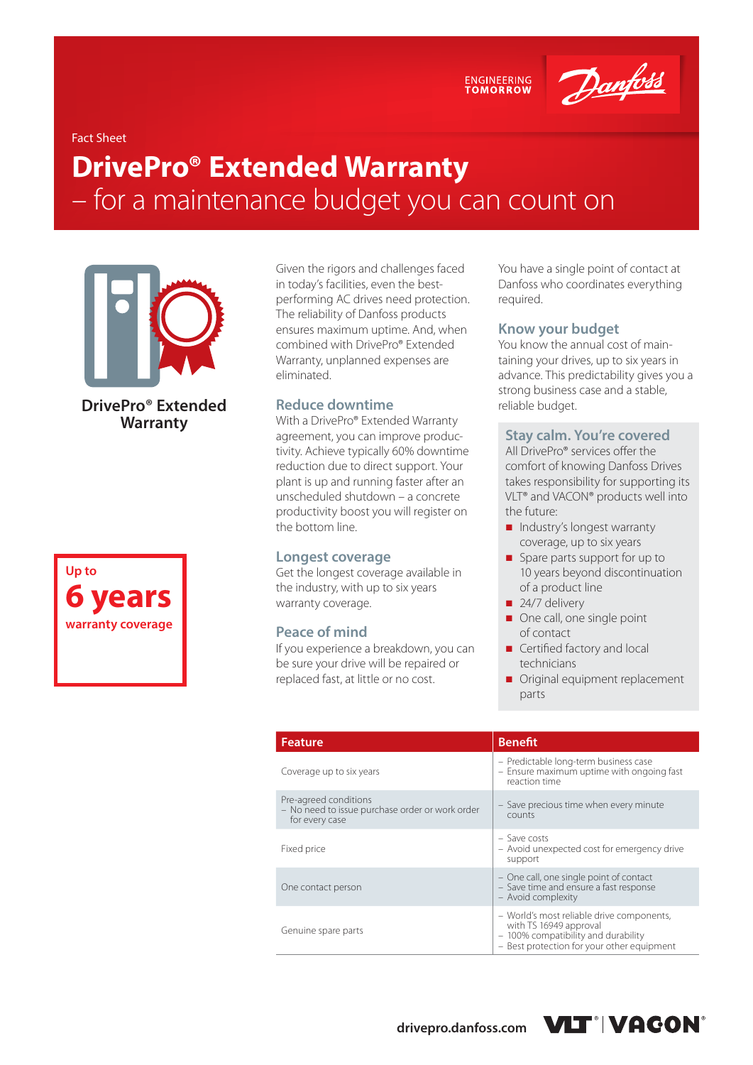

#### Fact Sheet

# **DrivePro® Extended Warranty**  – for a maintenance budget you can count on



**DrivePro® Extended Warranty**

**Up to 6 years warranty coverage**

Given the rigors and challenges faced in today's facilities, even the bestperforming AC drives need protection. The reliability of Danfoss products ensures maximum uptime. And, when combined with DrivePro® Extended Warranty, unplanned expenses are eliminated.

#### **Reduce downtime**

With a DrivePro® Extended Warranty agreement, you can improve productivity. Achieve typically 60% downtime reduction due to direct support. Your plant is up and running faster after an unscheduled shutdown – a concrete productivity boost you will register on the bottom line.

#### **Longest coverage**

Get the longest coverage available in the industry, with up to six years warranty coverage.

#### **Peace of mind**

If you experience a breakdown, you can be sure your drive will be repaired or replaced fast, at little or no cost.

You have a single point of contact at Danfoss who coordinates everything required.

#### **Know your budget**

You know the annual cost of maintaining your drives, up to six years in advance. This predictability gives you a strong business case and a stable, reliable budget.

#### **Stay calm. You're covered**

All DrivePro® services offer the comfort of knowing Danfoss Drives takes responsibility for supporting its VLT® and VACON® products well into the future:

- Industry's longest warranty coverage, up to six years
- Spare parts support for up to 10 years beyond discontinuation of a product line
- $\blacksquare$  24/7 delivery
- One call, one single point of contact
- Certified factory and local technicians
- Original equipment replacement parts

| <b>Feature</b>                                                                             | <b>Benefit</b>                                                                                                                                           |  |
|--------------------------------------------------------------------------------------------|----------------------------------------------------------------------------------------------------------------------------------------------------------|--|
| Coverage up to six years                                                                   | - Predictable long-term business case<br>- Ensure maximum uptime with ongoing fast<br>reaction time                                                      |  |
| Pre-agreed conditions<br>- No need to issue purchase order or work order<br>for every case | - Save precious time when every minute<br>counts                                                                                                         |  |
| Fixed price                                                                                | $-$ Save costs<br>- Avoid unexpected cost for emergency drive<br>support                                                                                 |  |
| One contact person                                                                         | - One call, one single point of contact<br>- Save time and ensure a fast response<br>- Avoid complexity                                                  |  |
| Genuine spare parts                                                                        | - World's most reliable drive components,<br>with TS 16949 approval<br>- 100% compatibility and durability<br>- Best protection for your other equipment |  |